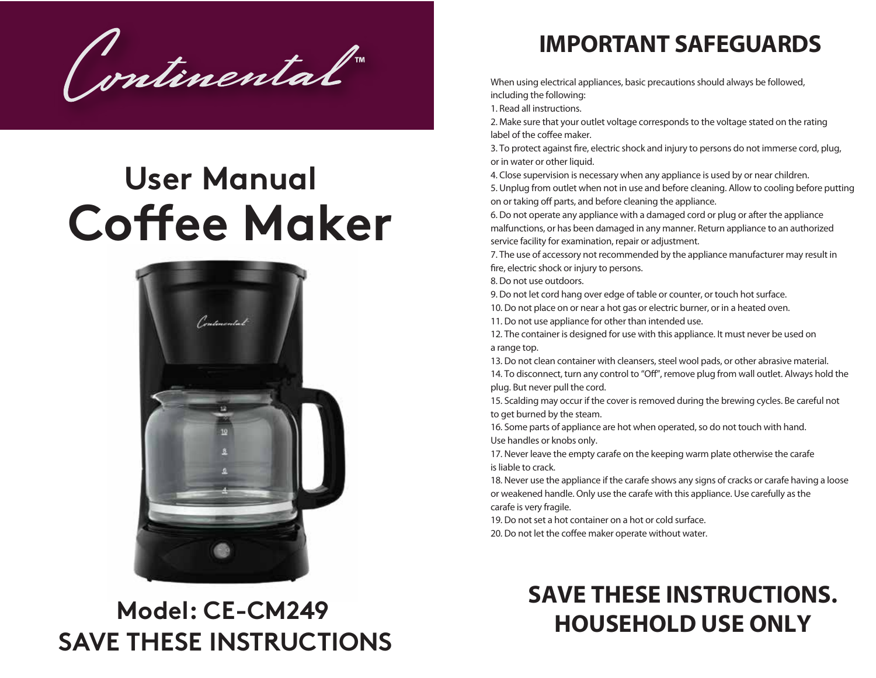Continental

# **User Manual Coffee Maker**



### **IMPORTANT SAFEGUARDS**

When using electrical appliances, basic precautions should always be followed, including the following:

1. Read all instructions.

2. Make sure that your outlet voltage corresponds to the voltage stated on the rating label of the coffee maker.

3. To protect against fire, electric shock and injury to persons do not immerse cord, plug, or in water or other liquid.

4. Close supervision is necessary when any appliance is used by or near children.

5. Unplug from outlet when not in use and before cleaning. Allow to cooling before putting on or taking off parts, and before cleaning the appliance.

6. Do not operate any appliance with a damaged cord or plug or after the appliance malfunctions, or has been damaged in any manner. Return appliance to an authorized service facility for examination, repair or adjustment.

7. The use of accessory not recommended by the appliance manufacturer may result in fire, electric shock or injury to persons.

8. Do not use outdoors.

9. Do not let cord hang over edge of table or counter, or touch hot surface.

10. Do not place on or near a hot gas or electric burner, or in a heated oven.

11. Do not use appliance for other than intended use.

12. The container is designed for use with this appliance. It must never be used on a range top.

13. Do not clean container with cleansers, steel wool pads, or other abrasive material. 14. To disconnect, turn any control to "Off", remove plug from wall outlet. Always hold the plug. But never pull the cord.

15. Scalding may occur if the cover is removed during the brewing cycles. Be careful not to get burned by the steam.

16. Some parts of appliance are hot when operated, so do not touch with hand. Use handles or knobs only.

17. Never leave the empty carafe on the keeping warm plate otherwise the carafe is liable to crack.

18. Never use the appliance if the carafe shows any signs of cracks or carafe having a loose or weakened handle. Only use the carafe with this appliance. Use carefully as the carafe is very fragile.

19. Do not set a hot container on a hot or cold surface.

20. Do not let the coffee maker operate without water.

## **SAVE THESE INSTRUCTIONS. HOUSEHOLD USE ONLY**

# **Model: CE-CM249 SAVE THESE INSTRUCTIONS**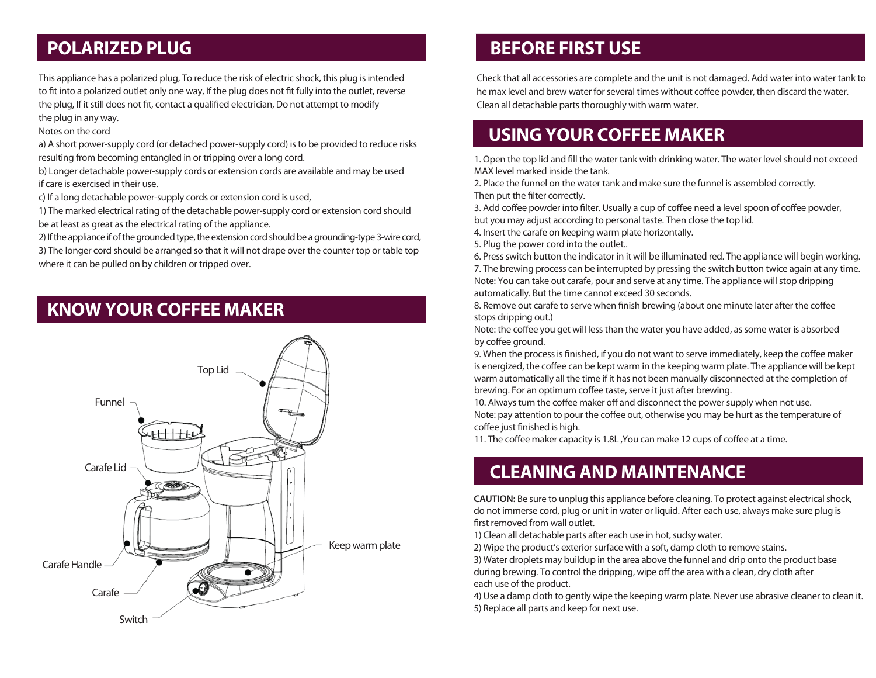This appliance has a polarized plug, To reduce the risk of electric shock, this plug is intended to fit into a polarized outlet only one way, If the plug does not fit fully into the outlet, reverse the plug, If it still does not fit, contact a qualified electrician, Do not attempt to modify the plug in any way.

Notes on the cord

a) A short power-supply cord (or detached power-supply cord) is to be provided to reduce risks resulting from becoming entangled in or tripping over a long cord.

b) Longer detachable power-supply cords or extension cords are available and may be used if care is exercised in their use.

c) If a long detachable power-supply cords or extension cord is used,

1) The marked electrical rating of the detachable power-supply cord or extension cord should be at least as great as the electrical rating of the appliance.

2) If the appliance if of the grounded type, the extension cord should be a grounding-type 3-wire cord, 3) The longer cord should be arranged so that it will not drape over the counter top or table top where it can be pulled on by children or tripped over.

### **KNOW YOUR COFFEE MAKER**



### **POLARIZED PLUG BEFORE FIRST USE**

Check that all accessories are complete and the unit is not damaged. Add water into water tank to he max level and brew water for several times without coffee powder, then discard the water. Clean all detachable parts thoroughly with warm water.

### **USING YOUR COFFEE MAKER**

1. Open the top lid and fill the water tank with drinking water. The water level should not exceed MAX level marked inside the tank.

2. Place the funnel on the water tank and make sure the funnel is assembled correctly. Then put the filter correctly.

3. Add coffee powder into filter. Usually a cup of coffee need a level spoon of coffee powder, but you may adjust according to personal taste. Then close the top lid.

4. Insert the carafe on keeping warm plate horizontally.

5. Plug the power cord into the outlet..

6. Press switch button the indicator in it will be illuminated red. The appliance will begin working. 7. The brewing process can be interrupted by pressing the switch button twice again at any time. Note: You can take out carafe, pour and serve at any time. The appliance will stop dripping automatically. But the time cannot exceed 30 seconds.

8. Remove out carafe to serve when finish brewing (about one minute later after the coffee stops dripping out.)

Note: the coffee you get will less than the water you have added, as some water is absorbed by coffee ground.

9. When the process is finished, if you do not want to serve immediately, keep the coffee maker is energized, the coffee can be kept warm in the keeping warm plate. The appliance will be kept warm automatically all the time if it has not been manually disconnected at the completion of brewing. For an optimum coffee taste, serve it just after brewing.

10. Always turn the coffee maker off and disconnect the power supply when not use. Note: pay attention to pour the coffee out, otherwise you may be hurt as the temperature of coffee just finished is high.

11. The coffee maker capacity is 1.8L ,You can make 12 cups of coffee at a time.

### **CLEANING AND MAINTENANCE**

**CAUTION:** Be sure to unplug this appliance before cleaning. To protect against electrical shock, do not immerse cord, plug or unit in water or liquid. After each use, always make sure plug is first removed from wall outlet.

1) Clean all detachable parts after each use in hot, sudsy water.

2) Wipe the product's exterior surface with a soft, damp cloth to remove stains.

3) Water droplets may buildup in the area above the funnel and drip onto the product base during brewing. To control the dripping, wipe off the area with a clean, dry cloth after each use of the product.

4) Use a damp cloth to gently wipe the keeping warm plate. Never use abrasive cleaner to clean it. 5) Replace all parts and keep for next use.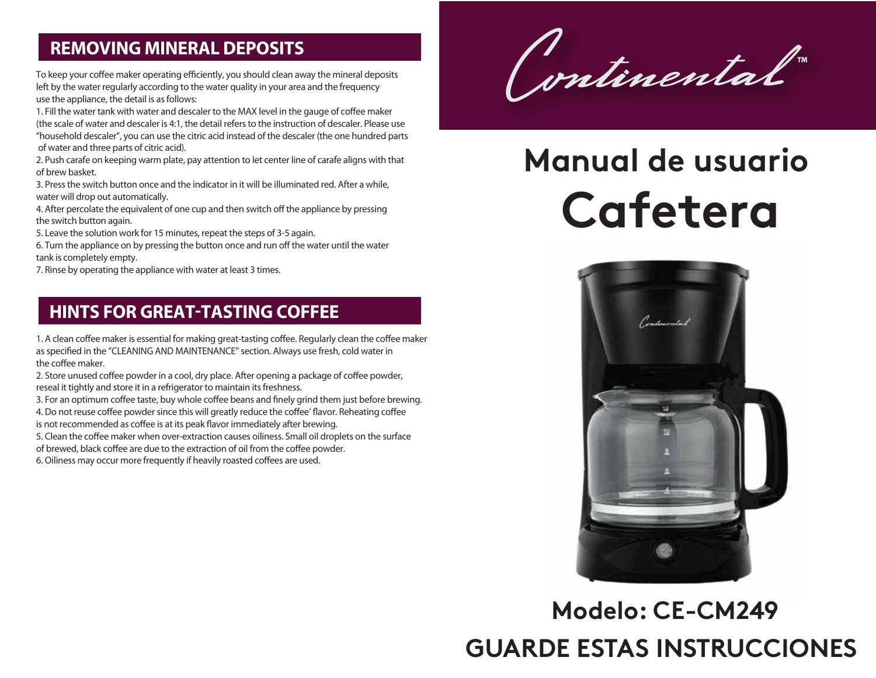### **REMOVING MINERAL DEPOSITS**

To keep your coffee maker operating efficiently, you should clean away the mineral deposits left by the water regularly according to the water quality in your area and the frequency use the appliance, the detail is as follows:

1. Fill the water tank with water and descaler to the MAX level in the gauge of coffee maker (the scale of water and descaler is 4:1, the detail refers to the instruction of descaler. Please use "household descaler", you can use the citric acid instead of the descaler (the one hundred parts of water and three parts of citric acid).

2. Push carafe on keeping warm plate, pay attention to let center line of carafe aligns with that of brew basket.

3. Press the switch button once and the indicator in it will be illuminated red. After a while, water will drop out automatically.

4. After percolate the equivalent of one cup and then switch off the appliance by pressing the switch button again.

5. Leave the solution work for 15 minutes, repeat the steps of 3-5 again.

6. Turn the appliance on by pressing the button once and run off the water until the water tank is completely empty.

7. Rinse by operating the appliance with water at least 3 times.

### **HINTS FOR GREAT-TASTING COFFEE**

1. A clean coffee maker is essential for making great-tasting coffee. Regularly clean the coffee maker as specified in the "CLEANING AND MAINTENANCE" section. Always use fresh, cold water in the coffee maker.

2. Store unused coffee powder in a cool, dry place. After opening a package of coffee powder, reseal it tightly and store it in a refrigerator to maintain its freshness.

3. For an optimum coffee taste, buy whole coffee beans and finely grind them just before brewing.

4. Do not reuse coffee powder since this will greatly reduce the coffee' flavor. Reheating coffee

is not recommended as coffee is at its peak flavor immediately after brewing.

5. Clean the coffee maker when over-extraction causes oiliness. Small oil droplets on the surface

of brewed, black coffee are due to the extraction of oil from the coffee powder.

6. Oiliness may occur more frequently if heavily roasted coffees are used.

Continental

# **Cafetera Manual de usuario**



# **Modelo: CE-CM249 GUARDE ESTAS INSTRUCCIONES**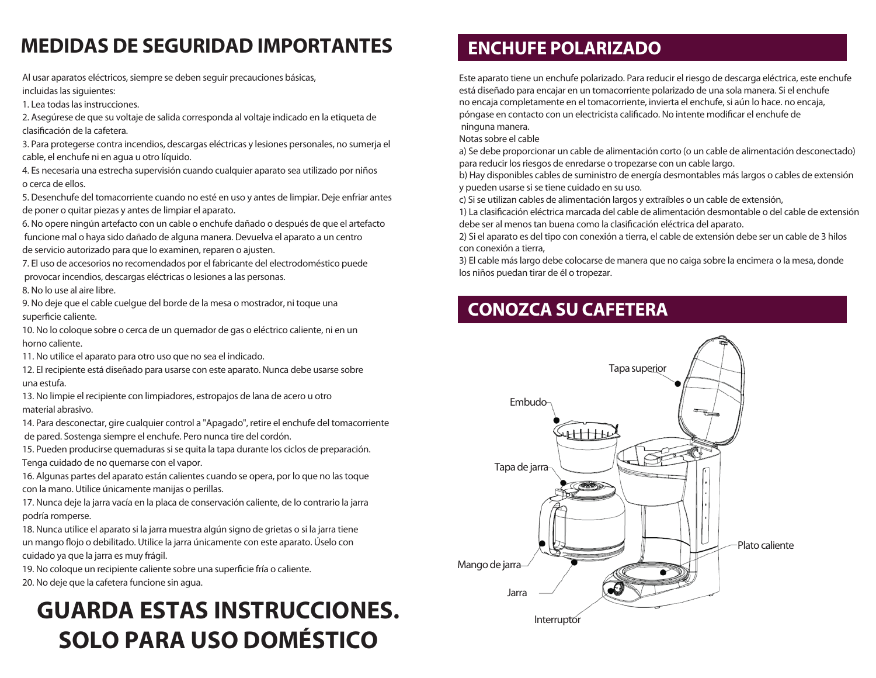### **MEDIDAS DE SEGURIDAD IMPORTANTES ENCHUFE POLARIZADO**

Al usar aparatos eléctricos, siempre se deben seguir precauciones básicas, incluidas las siguientes:

1. Lea todas las instrucciones.

2. Asegúrese de que su voltaje de salida corresponda al voltaje indicado en la etiqueta de clasificación de la cafetera.

3. Para protegerse contra incendios, descargas eléctricas y lesiones personales, no sumerja el cable, el enchufe ni en agua u otro líquido.

4. Es necesaria una estrecha supervisión cuando cualquier aparato sea utilizado por niños o cerca de ellos.

5. Desenchufe del tomacorriente cuando no esté en uso y antes de limpiar. Deje enfriar antes de poner o quitar piezas y antes de limpiar el aparato.

6. No opere ningún artefacto con un cable o enchufe dañado o después de que el artefacto funcione mal o haya sido dañado de alguna manera. Devuelva el aparato a un centro de servicio autorizado para que lo examinen, reparen o ajusten.

7. El uso de accesorios no recomendados por el fabricante del electrodoméstico puede provocar incendios, descargas eléctricas o lesiones a las personas.

8. No lo use al aire libre.

9. No deje que el cable cuelgue del borde de la mesa o mostrador, ni toque una superficie caliente.

10. No lo coloque sobre o cerca de un quemador de gas o eléctrico caliente, ni en un horno caliente.

11. No utilice el aparato para otro uso que no sea el indicado.

12. El recipiente está diseñado para usarse con este aparato. Nunca debe usarse sobre una estufa.

13. No limpie el recipiente con limpiadores, estropajos de lana de acero u otro material abrasivo.

14. Para desconectar, gire cualquier control a "Apagado", retire el enchufe del tomacorriente de pared. Sostenga siempre el enchufe. Pero nunca tire del cordón.

15. Pueden producirse quemaduras si se quita la tapa durante los ciclos de preparación. Tenga cuidado de no quemarse con el vapor.

16. Algunas partes del aparato están calientes cuando se opera, por lo que no las toque con la mano. Utilice únicamente manijas o perillas.

17. Nunca deje la jarra vacía en la placa de conservación caliente, de lo contrario la jarra podría romperse.

18. Nunca utilice el aparato si la jarra muestra algún signo de grietas o si la jarra tiene un mango flojo o debilitado. Utilice la jarra únicamente con este aparato. Úselo con cuidado ya que la jarra es muy frágil.

19. No coloque un recipiente caliente sobre una superficie fría o caliente.

20. No deje que la cafetera funcione sin agua.

## **GUARDA ESTAS INSTRUCCIONES. SOLO PARA USO DOMÉSTICO**

Este aparato tiene un enchufe polarizado. Para reducir el riesgo de descarga eléctrica, este enchufe está diseñado para encajar en un tomacorriente polarizado de una sola manera. Si el enchufe no encaja completamente en el tomacorriente, invierta el enchufe, si aún lo hace. no encaja, póngase en contacto con un electricista calificado. No intente modificar el enchufe de ninguna manera.

Notas sobre el cable

a) Se debe proporcionar un cable de alimentación corto (o un cable de alimentación desconectado) para reducir los riesgos de enredarse o tropezarse con un cable largo.

b) Hay disponibles cables de suministro de energía desmontables más largos o cables de extensión y pueden usarse si se tiene cuidado en su uso.

c) Si se utilizan cables de alimentación largos y extraíbles o un cable de extensión,

1) La clasificación eléctrica marcada del cable de alimentación desmontable o del cable de extensión debe ser al menos tan buena como la clasificación eléctrica del aparato.

2) Si el aparato es del tipo con conexión a tierra, el cable de extensión debe ser un cable de 3 hilos con conexión a tierra,

3) El cable más largo debe colocarse de manera que no caiga sobre la encimera o la mesa, donde los niños puedan tirar de él o tropezar.

### **CONOZCA SU CAFETERA**